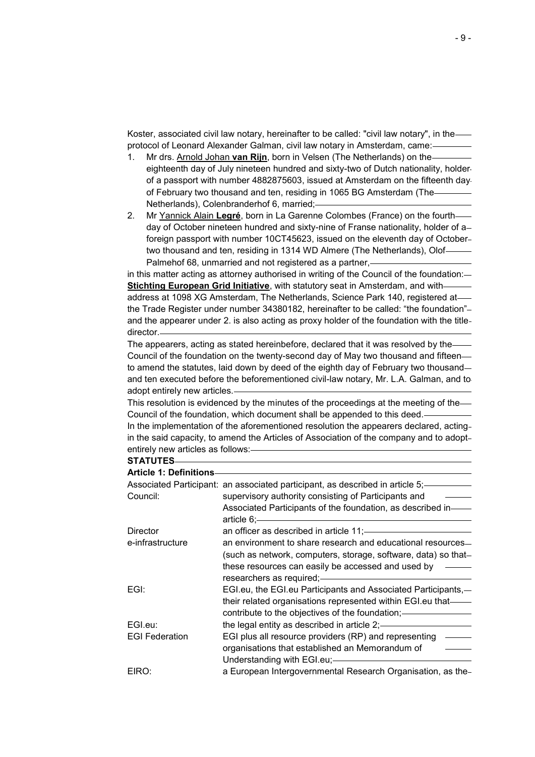Koster, associated civil law notary, hereinafter to be called: "civil law notary", in the protocol of Leonard Alexander Galman, civil law notary in Amsterdam, came:

- 1. Mr drs. Arnold Johan **van Rijn**, born in Velsen (The Netherlands) on the eighteenth day of July nineteen hundred and sixty-two of Dutch nationality, holder of a passport with number 4882875603, issued at Amsterdam on the fifteenth day of February two thousand and ten, residing in 1065 BG Amsterdam (The Netherlands), Colenbranderhof 6, married;
- 2. Mr Yannick Alain **Legré**, born in La Garenne Colombes (France) on the fourth day of October nineteen hundred and sixty-nine of Franse nationality, holder of a foreign passport with number 10CT45623, issued on the eleventh day of October two thousand and ten, residing in 1314 WD Almere (The Netherlands), Olof Palmehof 68, unmarried and not registered as a partner,-

in this matter acting as attorney authorised in writing of the Council of the foundation: **Stichting European Grid Initiative**, with statutory seat in Amsterdam, and withaddress at 1098 XG Amsterdam, The Netherlands, Science Park 140, registered at the Trade Register under number 34380182, hereinafter to be called: "the foundation"and the appearer under 2. is also acting as proxy holder of the foundation with the title director.

The appearers, acting as stated hereinbefore, declared that it was resolved by the Council of the foundation on the twenty-second day of May two thousand and fifteen to amend the statutes, laid down by deed of the eighth day of February two thousand and ten executed before the beforementioned civil-law notary, Mr. L.A. Galman, and to adopt entirely new articles.

This resolution is evidenced by the minutes of the proceedings at the meeting of the Council of the foundation, which document shall be appended to this deed.

In the implementation of the aforementioned resolution the appearers declared, acting in the said capacity, to amend the Articles of Association of the company and to adopt entirely new articles as follows:

**STATUTES**

| <b>Article 1: Definitions-</b> |                                                                                |  |
|--------------------------------|--------------------------------------------------------------------------------|--|
|                                | Associated Participant: an associated participant, as described in article 5;- |  |
| Council:                       | supervisory authority consisting of Participants and                           |  |
|                                | Associated Participants of the foundation, as described in-                    |  |
|                                | article 6;                                                                     |  |
| Director                       | an officer as described in article 11; --                                      |  |
| e-infrastructure               | an environment to share research and educational resources-                    |  |
|                                | (such as network, computers, storage, software, data) so that-                 |  |
|                                | these resources can easily be accessed and used by                             |  |
|                                | researchers as required;——                                                     |  |
| EGI:                           | EGI.eu, the EGI.eu Participants and Associated Participants,-                  |  |
|                                | their related organisations represented within EGI.eu that—                    |  |
|                                | contribute to the objectives of the foundation;                                |  |
| EGI.eu:                        | the legal entity as described in article $2$ ; $\frac{1}{2}$                   |  |
|                                |                                                                                |  |
| <b>EGI Federation</b>          | EGI plus all resource providers (RP) and representing                          |  |
|                                | organisations that established an Memorandum of                                |  |
|                                | Understanding with EGI.eu;-                                                    |  |
| EIRO:                          | a European Intergovernmental Research Organisation, as the-                    |  |
|                                |                                                                                |  |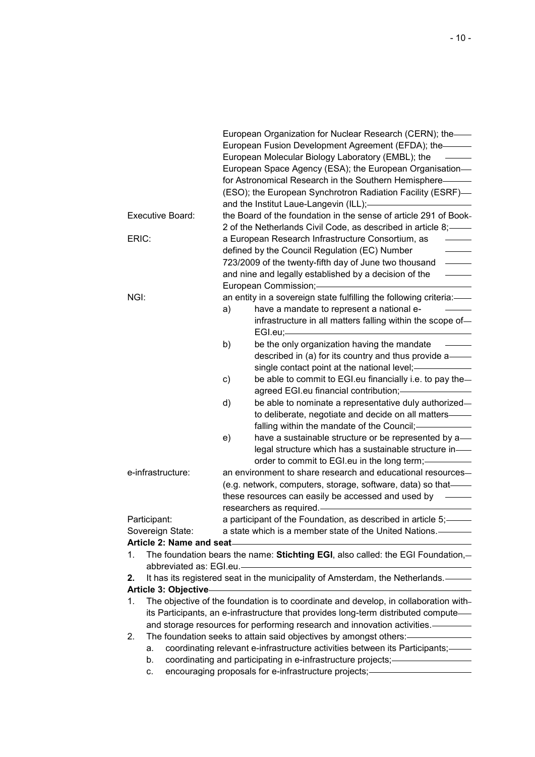|                       |                                                                                    | European Organization for Nuclear Research (CERN); the-                                                                |  |
|-----------------------|------------------------------------------------------------------------------------|------------------------------------------------------------------------------------------------------------------------|--|
|                       |                                                                                    | European Fusion Development Agreement (EFDA); the-                                                                     |  |
|                       |                                                                                    | European Molecular Biology Laboratory (EMBL); the                                                                      |  |
|                       |                                                                                    | European Space Agency (ESA); the European Organisation-                                                                |  |
|                       |                                                                                    | for Astronomical Research in the Southern Hemisphere————                                                               |  |
|                       |                                                                                    | (ESO); the European Synchrotron Radiation Facility (ESRF)-                                                             |  |
|                       |                                                                                    | and the Institut Laue-Langevin (ILL); <b>Consumers and the Institut Laue-Langevin (ILL)</b> ;                          |  |
|                       | Executive Board:                                                                   | the Board of the foundation in the sense of article 291 of Book-                                                       |  |
|                       |                                                                                    | 2 of the Netherlands Civil Code, as described in article 8;-                                                           |  |
| ERIC:                 |                                                                                    | a European Research Infrastructure Consortium, as                                                                      |  |
|                       |                                                                                    | defined by the Council Regulation (EC) Number                                                                          |  |
|                       |                                                                                    | 723/2009 of the twenty-fifth day of June two thousand<br>$\overline{\phantom{a}}$                                      |  |
|                       |                                                                                    | and nine and legally established by a decision of the                                                                  |  |
|                       |                                                                                    | European Commission;-                                                                                                  |  |
| NGI:                  |                                                                                    | an entity in a sovereign state fulfilling the following criteria:-                                                     |  |
|                       |                                                                                    | have a mandate to represent a national e-<br>a)                                                                        |  |
|                       |                                                                                    | infrastructure in all matters falling within the scope of-                                                             |  |
|                       |                                                                                    |                                                                                                                        |  |
|                       |                                                                                    | be the only organization having the mandate<br>b)                                                                      |  |
|                       |                                                                                    | described in (a) for its country and thus provide a—                                                                   |  |
|                       |                                                                                    | single contact point at the national level; ____________                                                               |  |
|                       |                                                                                    | be able to commit to EGI eu financially i.e. to pay the-<br>c)                                                         |  |
|                       |                                                                                    | agreed EGI.eu financial contribution;-                                                                                 |  |
|                       |                                                                                    | be able to nominate a representative duly authorized-<br>d)                                                            |  |
|                       |                                                                                    | to deliberate, negotiate and decide on all matters-                                                                    |  |
|                       |                                                                                    | falling within the mandate of the Council;-                                                                            |  |
|                       |                                                                                    | have a sustainable structure or be represented by a—<br>e)                                                             |  |
|                       |                                                                                    | legal structure which has a sustainable structure in-                                                                  |  |
|                       |                                                                                    | order to commit to EGI.eu in the long term;-                                                                           |  |
|                       | e-infrastructure:                                                                  | an environment to share research and educational resources-                                                            |  |
|                       |                                                                                    | (e.g. network, computers, storage, software, data) so that-                                                            |  |
|                       |                                                                                    | these resources can easily be accessed and used by -                                                                   |  |
|                       |                                                                                    |                                                                                                                        |  |
|                       | Participant:                                                                       | a participant of the Foundation, as described in article 5; —                                                          |  |
|                       | Sovereign State:                                                                   | a state which is a member state of the United Nations.                                                                 |  |
|                       |                                                                                    | Article 2: Name and seat-<br><u> </u>                                                                                  |  |
| 1.                    |                                                                                    | The foundation bears the name: Stichting EGI, also called: the EGI Foundation,-                                        |  |
|                       | abbreviated as: EGI.eu.-                                                           |                                                                                                                        |  |
| 2.                    |                                                                                    | It has its registered seat in the municipality of Amsterdam, the Netherlands.                                          |  |
| Article 3: Objective- |                                                                                    |                                                                                                                        |  |
| 1.                    |                                                                                    | The objective of the foundation is to coordinate and develop, in collaboration with-                                   |  |
|                       | its Participants, an e-infrastructure that provides long-term distributed compute- |                                                                                                                        |  |
|                       |                                                                                    | and storage resources for performing research and innovation activities. —————                                         |  |
|                       | The foundation seeks to attain said objectives by amongst others:-<br>2.           |                                                                                                                        |  |
|                       | a.                                                                                 | coordinating relevant e-infrastructure activities between its Participants;-                                           |  |
|                       | b.                                                                                 | coordinating and participating in e-infrastructure projects;-<br>encouraging proposals for e-infrastructure projects;- |  |
|                       | C.                                                                                 |                                                                                                                        |  |
|                       |                                                                                    |                                                                                                                        |  |
|                       |                                                                                    |                                                                                                                        |  |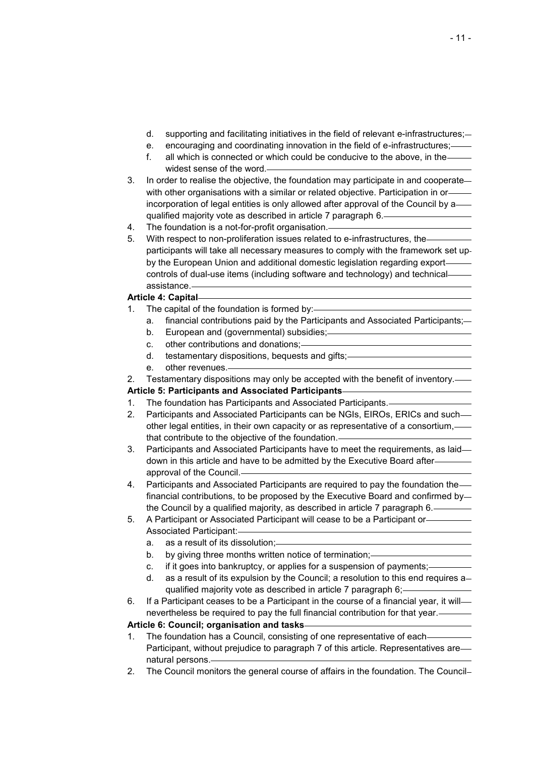- d. supporting and facilitating initiatives in the field of relevant e-infrastructures;
- e. encouraging and coordinating innovation in the field of e-infrastructures;
- f. all which is connected or which could be conducive to the above, in the widest sense of the word.
- 3. In order to realise the objective, the foundation may participate in and cooperate with other organisations with a similar or related objective. Participation in orincorporation of legal entities is only allowed after approval of the Council by a qualified majority vote as described in article 7 paragraph 6.
- 4. The foundation is a not-for-profit organisation.
- 5. With respect to non-proliferation issues related to e-infrastructures, the participants will take all necessary measures to comply with the framework set up by the European Union and additional domestic legislation regarding export controls of dual-use items (including software and technology) and technical assistance.

# **Article 4: Capital**

- 1. The capital of the foundation is formed by:
	- a. financial contributions paid by the Participants and Associated Participants;
	- b. European and (governmental) subsidies;
	- c. other contributions and donations;
	- d. testamentary dispositions, bequests and gifts;
	- e. other revenues.

2. Testamentary dispositions may only be accepted with the benefit of inventory.—

**Article 5: Participants and Associated Participants**

- 1. The foundation has Participants and Associated Participants.
- 2. Participants and Associated Participants can be NGIs, EIROs, ERICs and suchother legal entities, in their own capacity or as representative of a consortium, that contribute to the objective of the foundation.
- 3. Participants and Associated Participants have to meet the requirements, as laid down in this article and have to be admitted by the Executive Board after approval of the Council.
- 4. Participants and Associated Participants are required to pay the foundation the financial contributions, to be proposed by the Executive Board and confirmed by the Council by a qualified majority, as described in article 7 paragraph 6.
- 5. A Participant or Associated Participant will cease to be a Participant or Associated Participant:
	- a. as a result of its dissolution;
	- b. by giving three months written notice of termination;-
	- c. if it goes into bankruptcy, or applies for a suspension of payments;
	- d. as a result of its expulsion by the Council; a resolution to this end requires a qualified majority vote as described in article 7 paragraph 6;
- 6. If a Participant ceases to be a Participant in the course of a financial year, it will nevertheless be required to pay the full financial contribution for that year.

## **Article 6: Council; organisation and tasks**

- 1. The foundation has a Council, consisting of one representative of each Participant, without prejudice to paragraph 7 of this article. Representatives arenatural persons.
- 2. The Council monitors the general course of affairs in the foundation. The Council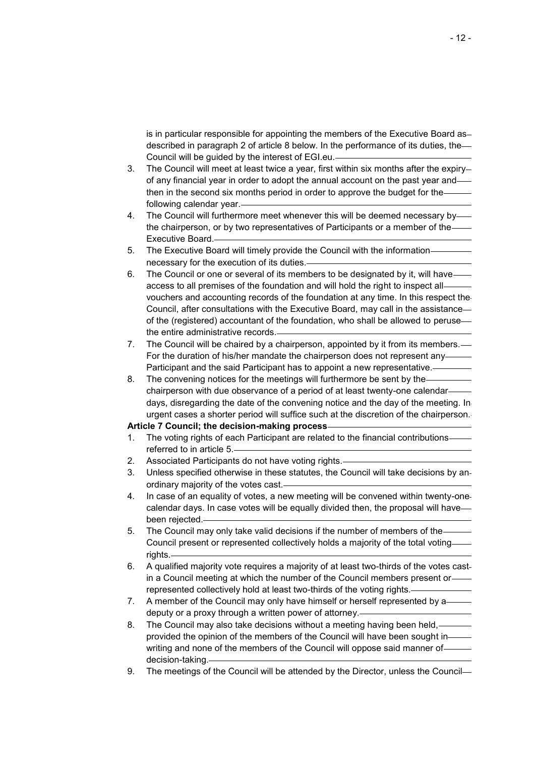is in particular responsible for appointing the members of the Executive Board as described in paragraph 2 of article 8 below. In the performance of its duties, the Council will be guided by the interest of EGI.eu.

- 3. The Council will meet at least twice a year, first within six months after the expiry of any financial year in order to adopt the annual account on the past year and then in the second six months period in order to approve the budget for the following calendar year.
- 4. The Council will furthermore meet whenever this will be deemed necessary by the chairperson, or by two representatives of Participants or a member of the Executive Board.
- 5. The Executive Board will timely provide the Council with the information necessary for the execution of its duties.
- 6. The Council or one or several of its members to be designated by it, will have access to all premises of the foundation and will hold the right to inspect all vouchers and accounting records of the foundation at any time. In this respect the Council, after consultations with the Executive Board, may call in the assistance of the (registered) accountant of the foundation, who shall be allowed to peruse the entire administrative records.
- 7. The Council will be chaired by a chairperson, appointed by it from its members. For the duration of his/her mandate the chairperson does not represent any Participant and the said Participant has to appoint a new representative.
- 8. The convening notices for the meetings will furthermore be sent by the chairperson with due observance of a period of at least twenty-one calendar days, disregarding the date of the convening notice and the day of the meeting. In urgent cases a shorter period will suffice such at the discretion of the chairperson.

#### **Article 7 Council; the decision-making process**

- 1. The voting rights of each Participant are related to the financial contributions referred to in article 5.
- 2. Associated Participants do not have voting rights.
- 3. Unless specified otherwise in these statutes, the Council will take decisions by an ordinary majority of the votes cast.
- 4. In case of an equality of votes, a new meeting will be convened within twenty-one calendar days. In case votes will be equally divided then, the proposal will have been rejected.
- 5. The Council may only take valid decisions if the number of members of the Council present or represented collectively holds a majority of the total voting rights.
- 6. A qualified majority vote requires a majority of at least two-thirds of the votes cast in a Council meeting at which the number of the Council members present or represented collectively hold at least two-thirds of the voting rights.
- 7. A member of the Council may only have himself or herself represented by adeputy or a proxy through a written power of attorney.
- 8. The Council may also take decisions without a meeting having been held, provided the opinion of the members of the Council will have been sought in writing and none of the members of the Council will oppose said manner of decision-taking.
- 9. The meetings of the Council will be attended by the Director, unless the Council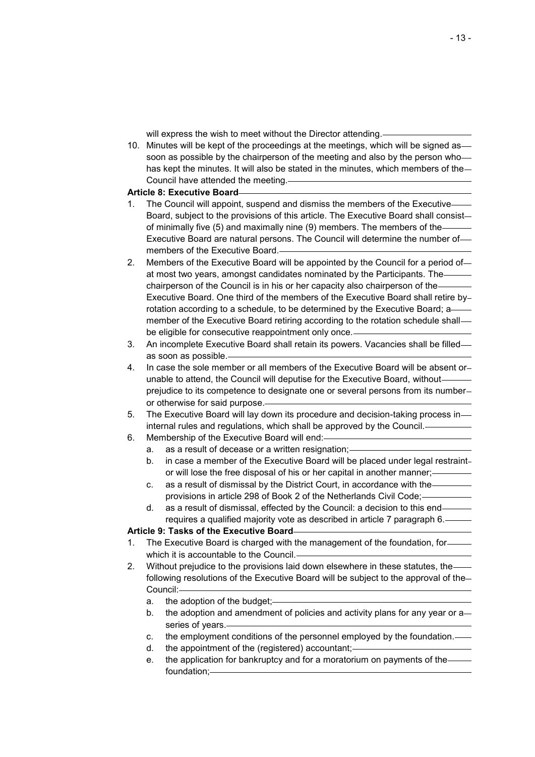will express the wish to meet without the Director attending.

10. Minutes will be kept of the proceedings at the meetings, which will be signed as soon as possible by the chairperson of the meeting and also by the person who has kept the minutes. It will also be stated in the minutes, which members of the Council have attended the meeting.

#### **Article 8: Executive Board**

- 1. The Council will appoint, suspend and dismiss the members of the Executive Board, subject to the provisions of this article. The Executive Board shall consist of minimally five (5) and maximally nine (9) members. The members of the Executive Board are natural persons. The Council will determine the number of members of the Executive Board.
- 2. Members of the Executive Board will be appointed by the Council for a period of at most two years, amongst candidates nominated by the Participants. The chairperson of the Council is in his or her capacity also chairperson of the Executive Board. One third of the members of the Executive Board shall retire by rotation according to a schedule, to be determined by the Executive Board; a member of the Executive Board retiring according to the rotation schedule shall be eligible for consecutive reappointment only once.
- 3. An incomplete Executive Board shall retain its powers. Vacancies shall be filled as soon as possible.
- 4. In case the sole member or all members of the Executive Board will be absent or unable to attend, the Council will deputise for the Executive Board, without prejudice to its competence to designate one or several persons from its number or otherwise for said purpose.
- 5. The Executive Board will lay down its procedure and decision-taking process in internal rules and regulations, which shall be approved by the Council.
- 6. Membership of the Executive Board will end:
	- a. as a result of decease or a written resignation;
	- b. in case a member of the Executive Board will be placed under legal restraint or will lose the free disposal of his or her capital in another manner;
	- c. as a result of dismissal by the District Court, in accordance with the provisions in article 298 of Book 2 of the Netherlands Civil Code;
	- d. as a result of dismissal, effected by the Council: a decision to this end requires a qualified majority vote as described in article 7 paragraph 6.

## **Article 9: Tasks of the Executive Board**

- 1. The Executive Board is charged with the management of the foundation, for which it is accountable to the Council.
- 2. Without prejudice to the provisions laid down elsewhere in these statutes, the following resolutions of the Executive Board will be subject to the approval of the Council:
	- a. the adoption of the budget;
	- b. the adoption and amendment of policies and activity plans for any year or a series of years.
	- c. the employment conditions of the personnel employed by the foundation.
	- d. the appointment of the (registered) accountant;
	- e. the application for bankruptcy and for a moratorium on payments of the foundation;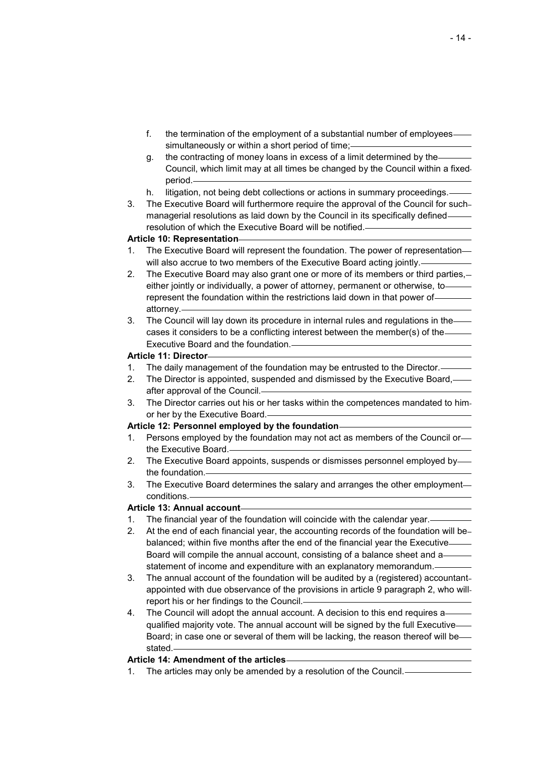- f. the termination of the employment of a substantial number of employees simultaneously or within a short period of time;-
- g. the contracting of money loans in excess of a limit determined by the Council, which limit may at all times be changed by the Council within a fixed period.
- h. litigation, not being debt collections or actions in summary proceedings.
- 3. The Executive Board will furthermore require the approval of the Council for such managerial resolutions as laid down by the Council in its specifically defined resolution of which the Executive Board will be notified.

## **Article 10: Representation**

- 1. The Executive Board will represent the foundation. The power of representation will also accrue to two members of the Executive Board acting jointly.
- 2. The Executive Board may also grant one or more of its members or third parties, either jointly or individually, a power of attorney, permanent or otherwise, to represent the foundation within the restrictions laid down in that power of attorney.
- 3. The Council will lay down its procedure in internal rules and regulations in the cases it considers to be a conflicting interest between the member(s) of the Executive Board and the foundation.

## **Article 11: Director**

- 1. The daily management of the foundation may be entrusted to the Director.
- 2. The Director is appointed, suspended and dismissed by the Executive Board, after approval of the Council.
- 3. The Director carries out his or her tasks within the competences mandated to him or her by the Executive Board.

## **Article 12: Personnel employed by the foundation**

- 1. Persons employed by the foundation may not act as members of the Council or the Executive Board.
- 2. The Executive Board appoints, suspends or dismisses personnel employed by the foundation.
- 3. The Executive Board determines the salary and arranges the other employment conditions.

## **Article 13: Annual account**

- 1. The financial year of the foundation will coincide with the calendar year.
- 2. At the end of each financial year, the accounting records of the foundation will be balanced; within five months after the end of the financial year the Executive Board will compile the annual account, consisting of a balance sheet and a statement of income and expenditure with an explanatory memorandum.-
- 3. The annual account of the foundation will be audited by a (registered) accountant appointed with due observance of the provisions in article 9 paragraph 2, who will report his or her findings to the Council.
- 4. The Council will adopt the annual account. A decision to this end requires a qualified majority vote. The annual account will be signed by the full Executive-Board; in case one or several of them will be lacking, the reason thereof will be stated.

## **Article 14: Amendment of the articles**

1. The articles may only be amended by a resolution of the Council.